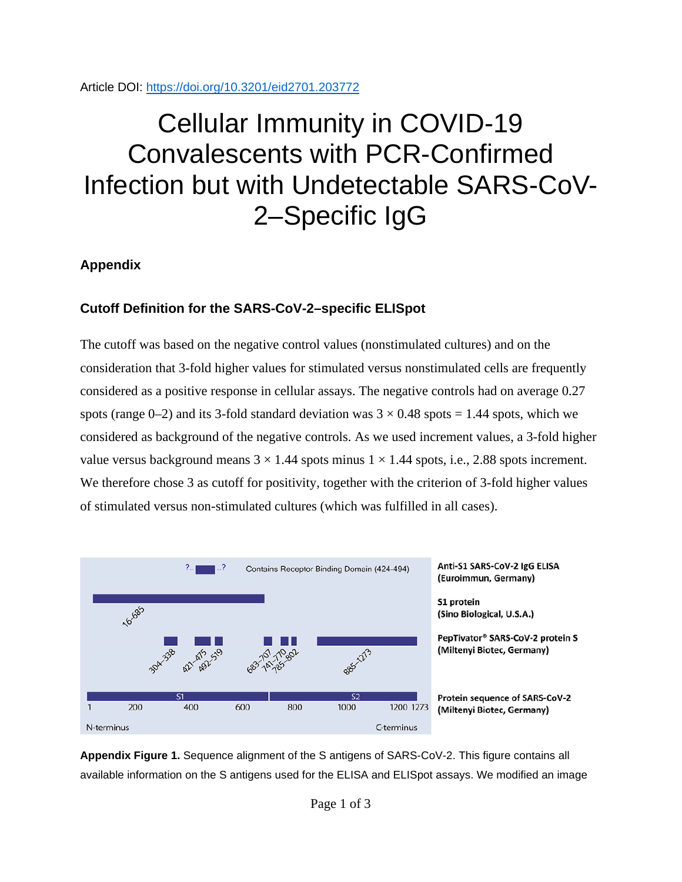Article DOI:<https://doi.org/10.3201/eid2701.203772>

## Cellular Immunity in COVID-19 Convalescents with PCR-Confirmed Infection but with Undetectable SARS-CoV-2–Specific IgG

## **Appendix**

## **Cutoff Definition for the SARS-CoV-2–specific ELISpot**

The cutoff was based on the negative control values (nonstimulated cultures) and on the consideration that 3-fold higher values for stimulated versus nonstimulated cells are frequently considered as a positive response in cellular assays. The negative controls had on average 0.27 spots (range 0–2) and its 3-fold standard deviation was  $3 \times 0.48$  spots = 1.44 spots, which we considered as background of the negative controls. As we used increment values, a 3-fold higher value versus background means  $3 \times 1.44$  spots minus  $1 \times 1.44$  spots, i.e., 2.88 spots increment. We therefore chose 3 as cutoff for positivity, together with the criterion of 3-fold higher values of stimulated versus non-stimulated cultures (which was fulfilled in all cases).



**Appendix Figure 1.** Sequence alignment of the S antigens of SARS-CoV-2. This figure contains all available information on the S antigens used for the ELISA and ELISpot assays. We modified an image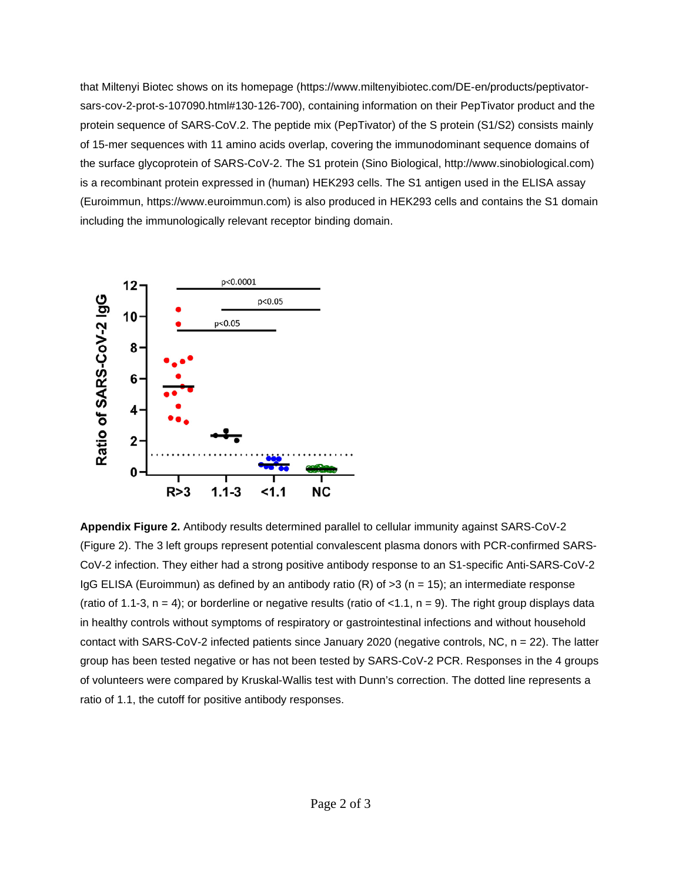that Miltenyi Biotec shows on its homepage (https://www.miltenyibiotec.com/DE-en/products/peptivatorsars-cov-2-prot-s-107090.html#130-126-700), containing information on their PepTivator product and the protein sequence of SARS-CoV.2. The peptide mix (PepTivator) of the S protein (S1/S2) consists mainly of 15-mer sequences with 11 amino acids overlap, covering the immunodominant sequence domains of the surface glycoprotein of SARS-CoV-2. The S1 protein (Sino Biological, http://www.sinobiological.com) is a recombinant protein expressed in (human) HEK293 cells. The S1 antigen used in the ELISA assay (Euroimmun, https://www.euroimmun.com) is also produced in HEK293 cells and contains the S1 domain including the immunologically relevant receptor binding domain.



**Appendix Figure 2.** Antibody results determined parallel to cellular immunity against SARS-CoV-2 (Figure 2). The 3 left groups represent potential convalescent plasma donors with PCR-confirmed SARS-CoV-2 infection. They either had a strong positive antibody response to an S1-specific Anti-SARS-CoV-2 IgG ELISA (Euroimmun) as defined by an antibody ratio (R) of  $>3$  (n = 15); an intermediate response (ratio of 1.1-3,  $n = 4$ ); or borderline or negative results (ratio of <1.1,  $n = 9$ ). The right group displays data in healthy controls without symptoms of respiratory or gastrointestinal infections and without household contact with SARS-CoV-2 infected patients since January 2020 (negative controls, NC, n = 22). The latter group has been tested negative or has not been tested by SARS-CoV-2 PCR. Responses in the 4 groups of volunteers were compared by Kruskal-Wallis test with Dunn's correction. The dotted line represents a ratio of 1.1, the cutoff for positive antibody responses.